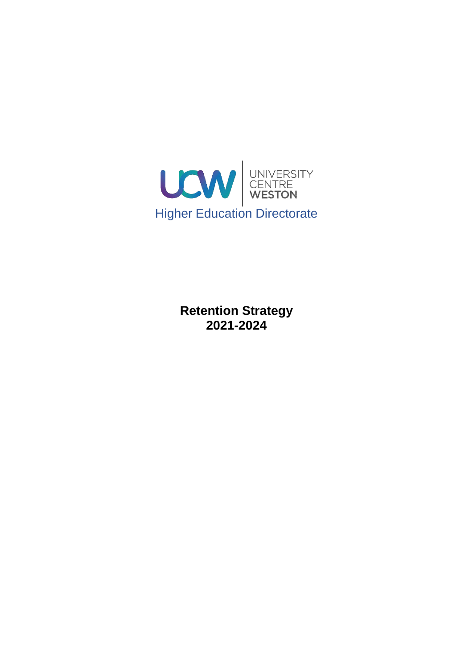

**Retention Strategy 2021-2024**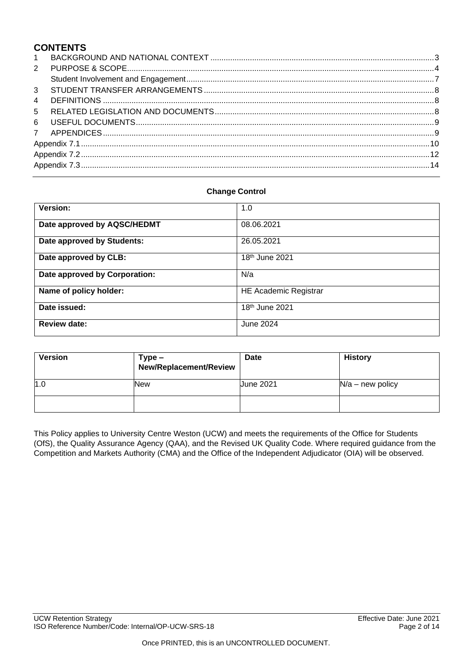## **CONTENTS**

| $2^{\circ}$    |  |  |
|----------------|--|--|
|                |  |  |
|                |  |  |
| $\overline{4}$ |  |  |
|                |  |  |
|                |  |  |
|                |  |  |
|                |  |  |
|                |  |  |
|                |  |  |
|                |  |  |

### **Change Control**

| <b>Version:</b>               | 1.0                          |
|-------------------------------|------------------------------|
| Date approved by AQSC/HEDMT   | 08.06.2021                   |
| Date approved by Students:    | 26.05.2021                   |
| Date approved by CLB:         | 18 <sup>th</sup> June 2021   |
| Date approved by Corporation: | N/a                          |
| Name of policy holder:        | <b>HE Academic Registrar</b> |
| Date issued:                  | 18 <sup>th</sup> June 2021   |
| <b>Review date:</b>           | June 2024                    |

| <b>Version</b> | Type –<br>New/Replacement/Review | <b>Date</b>      | <b>History</b>     |
|----------------|----------------------------------|------------------|--------------------|
| 1.0            | New                              | <b>June 2021</b> | $N/a$ – new policy |
|                |                                  |                  |                    |

This Policy applies to University Centre Weston (UCW) and meets the requirements of the Office for Students (OfS), the Quality Assurance Agency (QAA), and the Revised UK Quality Code. Where required guidance from the Competition and Markets Authority (CMA) and the Office of the Independent Adjudicator (OIA) will be observed.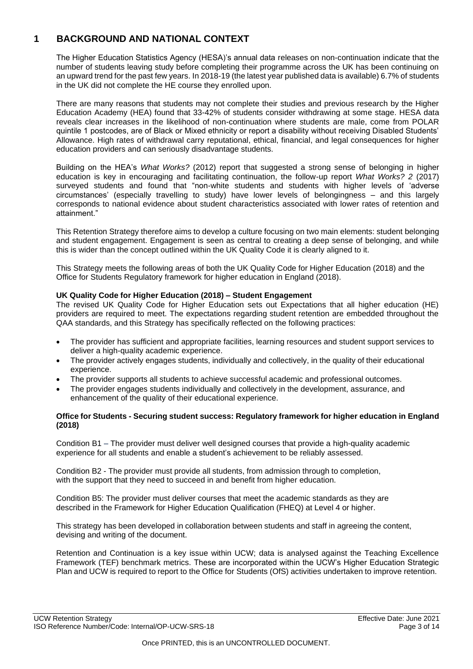# <span id="page-2-0"></span>**1 BACKGROUND AND NATIONAL CONTEXT**

The Higher Education Statistics Agency (HESA)'s annual data releases on non-continuation indicate that the number of students leaving study before completing their programme across the UK has been continuing on an upward trend for the past few years. In 2018-19 (the latest year published data is available) 6.7% of students in the UK did not complete the HE course they enrolled upon.

There are many reasons that students may not complete their studies and previous research by the Higher Education Academy (HEA) found that 33-42% of students consider withdrawing at some stage. HESA data reveals clear increases in the likelihood of non-continuation where students are male, come from POLAR quintile 1 postcodes, are of Black or Mixed ethnicity or report a disability without receiving Disabled Students' Allowance. High rates of withdrawal carry reputational, ethical, financial, and legal consequences for higher education providers and can seriously disadvantage students.

Building on the HEA's *What Works?* (2012) report that suggested a strong sense of belonging in higher education is key in encouraging and facilitating continuation, the follow-up report *What Works? 2* (2017) surveyed students and found that "non-white students and students with higher levels of 'adverse circumstances' (especially travelling to study) have lower levels of belongingness – and this largely corresponds to national evidence about student characteristics associated with lower rates of retention and attainment."

This Retention Strategy therefore aims to develop a culture focusing on two main elements: student belonging and student engagement. Engagement is seen as central to creating a deep sense of belonging, and while this is wider than the concept outlined within the UK Quality Code it is clearly aligned to it.

This Strategy meets the following areas of both the UK Quality Code for Higher Education (2018) and the Office for Students Regulatory framework for higher education in England (2018).

## **UK Quality Code for Higher Education (2018) – Student Engagement**

The revised UK Quality Code for Higher Education sets out Expectations that all higher education (HE) providers are required to meet. The expectations regarding student retention are embedded throughout the QAA standards, and this Strategy has specifically reflected on the following practices:

- The provider has sufficient and appropriate facilities, learning resources and student support services to deliver a high-quality academic experience.
- The provider actively engages students, individually and collectively, in the quality of their educational experience.
- The provider supports all students to achieve successful academic and professional outcomes.
- The provider engages students individually and collectively in the development, assurance, and enhancement of the quality of their educational experience.

### **Office for Students - Securing student success: Regulatory framework for higher education in England (2018)**

Condition B1 – The provider must deliver well designed courses that provide a high-quality academic experience for all students and enable a student's achievement to be reliably assessed.

Condition B2 - The provider must provide all students, from admission through to completion, with the support that they need to succeed in and benefit from higher education.

Condition B5: The provider must deliver courses that meet the academic standards as they are described in the Framework for Higher Education Qualification (FHEQ) at Level 4 or higher.

This strategy has been developed in collaboration between students and staff in agreeing the content, devising and writing of the document.

Retention and Continuation is a key issue within UCW; data is analysed against the Teaching Excellence Framework (TEF) benchmark metrics. These are incorporated within the UCW's Higher Education Strategic Plan and UCW is required to report to the Office for Students (OfS) activities undertaken to improve retention.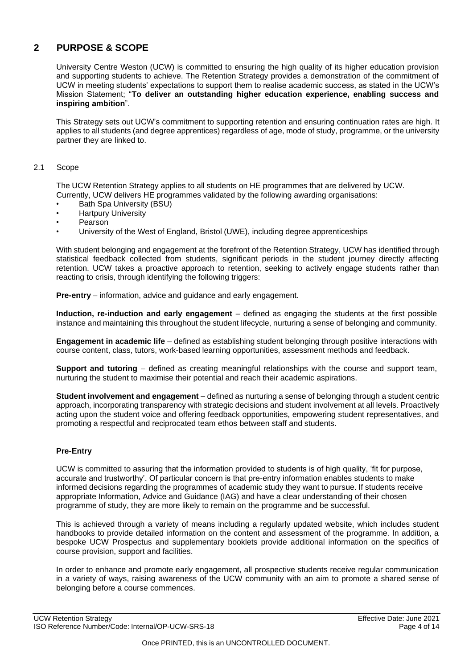# <span id="page-3-0"></span>**2 PURPOSE & SCOPE**

University Centre Weston (UCW) is committed to ensuring the high quality of its higher education provision and supporting students to achieve. The Retention Strategy provides a demonstration of the commitment of UCW in meeting students' expectations to support them to realise academic success, as stated in the UCW's Mission Statement; "**To deliver an outstanding higher education experience, enabling success and inspiring ambition**".

This Strategy sets out UCW's commitment to supporting retention and ensuring continuation rates are high. It applies to all students (and degree apprentices) regardless of age, mode of study, programme, or the university partner they are linked to.

### 2.1 Scope

The UCW Retention Strategy applies to all students on HE programmes that are delivered by UCW. Currently, UCW delivers HE programmes validated by the following awarding organisations:

- Bath Spa University (BSU)
- Hartpury University
- Pearson
- University of the West of England, Bristol (UWE), including degree apprenticeships

With student belonging and engagement at the forefront of the Retention Strategy, UCW has identified through statistical feedback collected from students, significant periods in the student journey directly affecting retention. UCW takes a proactive approach to retention, seeking to actively engage students rather than reacting to crisis, through identifying the following triggers:

**Pre-entry** – information, advice and guidance and early engagement.

**Induction, re-induction and early engagement** – defined as engaging the students at the first possible instance and maintaining this throughout the student lifecycle, nurturing a sense of belonging and community.

**Engagement in academic life** – defined as establishing student belonging through positive interactions with course content, class, tutors, work-based learning opportunities, assessment methods and feedback.

**Support and tutoring** – defined as creating meaningful relationships with the course and support team, nurturing the student to maximise their potential and reach their academic aspirations.

**Student involvement and engagement** – defined as nurturing a sense of belonging through a student centric approach, incorporating transparency with strategic decisions and student involvement at all levels. Proactively acting upon the student voice and offering feedback opportunities, empowering student representatives, and promoting a respectful and reciprocated team ethos between staff and students.

### **Pre-Entry**

UCW is committed to assuring that the information provided to students is of high quality, 'fit for purpose, accurate and trustworthy'. Of particular concern is that pre-entry information enables students to make informed decisions regarding the programmes of academic study they want to pursue. If students receive appropriate Information, Advice and Guidance (IAG) and have a clear understanding of their chosen programme of study, they are more likely to remain on the programme and be successful.

This is achieved through a variety of means including a regularly updated website, which includes student handbooks to provide detailed information on the content and assessment of the programme. In addition, a bespoke UCW Prospectus and supplementary booklets provide additional information on the specifics of course provision, support and facilities.

In order to enhance and promote early engagement, all prospective students receive regular communication in a variety of ways, raising awareness of the UCW community with an aim to promote a shared sense of belonging before a course commences.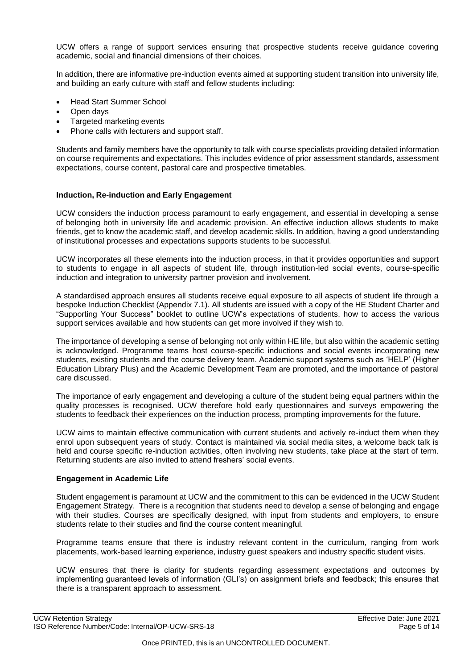UCW offers a range of support services ensuring that prospective students receive guidance covering academic, social and financial dimensions of their choices.

In addition, there are informative pre-induction events aimed at supporting student transition into university life, and building an early culture with staff and fellow students including:

- Head Start Summer School
- Open days
- Targeted marketing events
- Phone calls with lecturers and support staff.

Students and family members have the opportunity to talk with course specialists providing detailed information on course requirements and expectations. This includes evidence of prior assessment standards, assessment expectations, course content, pastoral care and prospective timetables.

### **Induction, Re-induction and Early Engagement**

UCW considers the induction process paramount to early engagement, and essential in developing a sense of belonging both in university life and academic provision. An effective induction allows students to make friends, get to know the academic staff, and develop academic skills. In addition, having a good understanding of institutional processes and expectations supports students to be successful.

UCW incorporates all these elements into the induction process, in that it provides opportunities and support to students to engage in all aspects of student life, through institution-led social events, course-specific induction and integration to university partner provision and involvement.

A standardised approach ensures all students receive equal exposure to all aspects of student life through a bespoke Induction Checklist (Appendix 7.1). All students are issued with a copy of the HE Student Charter and "Supporting Your Success" booklet to outline UCW's expectations of students, how to access the various support services available and how students can get more involved if they wish to.

The importance of developing a sense of belonging not only within HE life, but also within the academic setting is acknowledged. Programme teams host course-specific inductions and social events incorporating new students, existing students and the course delivery team. Academic support systems such as 'HELP' (Higher Education Library Plus) and the Academic Development Team are promoted, and the importance of pastoral care discussed.

The importance of early engagement and developing a culture of the student being equal partners within the quality processes is recognised. UCW therefore hold early questionnaires and surveys empowering the students to feedback their experiences on the induction process, prompting improvements for the future.

UCW aims to maintain effective communication with current students and actively re-induct them when they enrol upon subsequent years of study. Contact is maintained via social media sites, a welcome back talk is held and course specific re-induction activities, often involving new students, take place at the start of term. Returning students are also invited to attend freshers' social events.

#### **Engagement in Academic Life**

Student engagement is paramount at UCW and the commitment to this can be evidenced in the UCW Student Engagement Strategy. There is a recognition that students need to develop a sense of belonging and engage with their studies. Courses are specifically designed, with input from students and employers, to ensure students relate to their studies and find the course content meaningful.

Programme teams ensure that there is industry relevant content in the curriculum, ranging from work placements, work-based learning experience, industry guest speakers and industry specific student visits.

UCW ensures that there is clarity for students regarding assessment expectations and outcomes by implementing guaranteed levels of information (GLI's) on assignment briefs and feedback; this ensures that there is a transparent approach to assessment.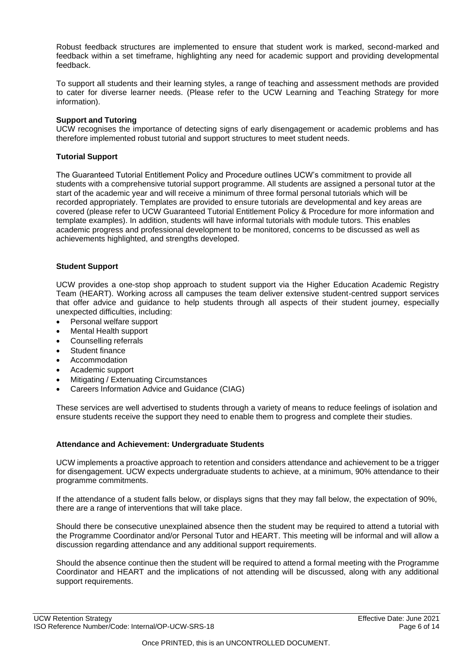Robust feedback structures are implemented to ensure that student work is marked, second-marked and feedback within a set timeframe, highlighting any need for academic support and providing developmental feedback.

To support all students and their learning styles, a range of teaching and assessment methods are provided to cater for diverse learner needs. (Please refer to the UCW Learning and Teaching Strategy for more information).

### **Support and Tutoring**

UCW recognises the importance of detecting signs of early disengagement or academic problems and has therefore implemented robust tutorial and support structures to meet student needs.

### **Tutorial Support**

The Guaranteed Tutorial Entitlement Policy and Procedure outlines UCW's commitment to provide all students with a comprehensive tutorial support programme. All students are assigned a personal tutor at the start of the academic year and will receive a minimum of three formal personal tutorials which will be recorded appropriately. Templates are provided to ensure tutorials are developmental and key areas are covered (please refer to UCW Guaranteed Tutorial Entitlement Policy & Procedure for more information and template examples). In addition, students will have informal tutorials with module tutors. This enables academic progress and professional development to be monitored, concerns to be discussed as well as achievements highlighted, and strengths developed.

### **Student Support**

UCW provides a one-stop shop approach to student support via the Higher Education Academic Registry Team (HEART). Working across all campuses the team deliver extensive student-centred support services that offer advice and guidance to help students through all aspects of their student journey, especially unexpected difficulties, including:

- Personal welfare support
- Mental Health support
- Counselling referrals
- Student finance
- Accommodation
- Academic support
- Mitigating / Extenuating Circumstances
- Careers Information Advice and Guidance (CIAG)

These services are well advertised to students through a variety of means to reduce feelings of isolation and ensure students receive the support they need to enable them to progress and complete their studies.

#### **Attendance and Achievement: Undergraduate Students**

UCW implements a proactive approach to retention and considers attendance and achievement to be a trigger for disengagement. UCW expects undergraduate students to achieve, at a minimum, 90% attendance to their programme commitments.

If the attendance of a student falls below, or displays signs that they may fall below, the expectation of 90%, there are a range of interventions that will take place.

Should there be consecutive unexplained absence then the student may be required to attend a tutorial with the Programme Coordinator and/or Personal Tutor and HEART. This meeting will be informal and will allow a discussion regarding attendance and any additional support requirements.

Should the absence continue then the student will be required to attend a formal meeting with the Programme Coordinator and HEART and the implications of not attending will be discussed, along with any additional support requirements.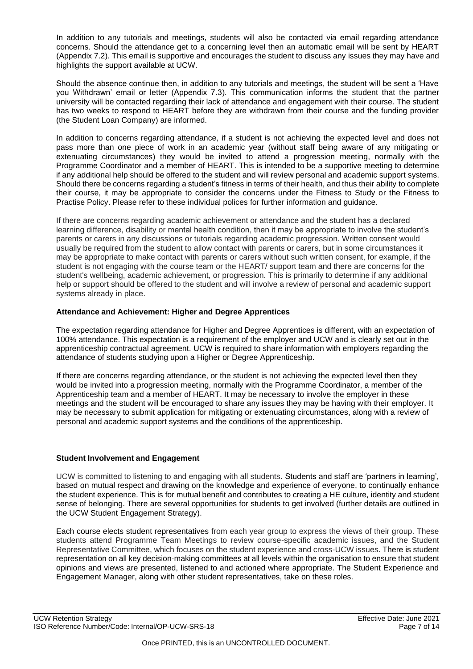In addition to any tutorials and meetings, students will also be contacted via email regarding attendance concerns. Should the attendance get to a concerning level then an automatic email will be sent by HEART (Appendix 7.2). This email is supportive and encourages the student to discuss any issues they may have and highlights the support available at UCW.

Should the absence continue then, in addition to any tutorials and meetings, the student will be sent a 'Have you Withdrawn' email or letter (Appendix 7.3). This communication informs the student that the partner university will be contacted regarding their lack of attendance and engagement with their course. The student has two weeks to respond to HEART before they are withdrawn from their course and the funding provider (the Student Loan Company) are informed.

In addition to concerns regarding attendance, if a student is not achieving the expected level and does not pass more than one piece of work in an academic year (without staff being aware of any mitigating or extenuating circumstances) they would be invited to attend a progression meeting, normally with the Programme Coordinator and a member of HEART. This is intended to be a supportive meeting to determine if any additional help should be offered to the student and will review personal and academic support systems. Should there be concerns regarding a student's fitness in terms of their health, and thus their ability to complete their course, it may be appropriate to consider the concerns under the Fitness to Study or the Fitness to Practise Policy. Please refer to these individual polices for further information and guidance.

If there are concerns regarding academic achievement or attendance and the student has a declared learning difference, disability or mental health condition, then it may be appropriate to involve the student's parents or carers in any discussions or tutorials regarding academic progression. Written consent would usually be required from the student to allow contact with parents or carers, but in some circumstances it may be appropriate to make contact with parents or carers without such written consent, for example, if the student is not engaging with the course team or the HEART/ support team and there are concerns for the student's wellbeing, academic achievement, or progression. This is primarily to determine if any additional help or support should be offered to the student and will involve a review of personal and academic support systems already in place.

## **Attendance and Achievement: Higher and Degree Apprentices**

The expectation regarding attendance for Higher and Degree Apprentices is different, with an expectation of 100% attendance. This expectation is a requirement of the employer and UCW and is clearly set out in the apprenticeship contractual agreement. UCW is required to share information with employers regarding the attendance of students studying upon a Higher or Degree Apprenticeship.

If there are concerns regarding attendance, or the student is not achieving the expected level then they would be invited into a progression meeting, normally with the Programme Coordinator, a member of the Apprenticeship team and a member of HEART. It may be necessary to involve the employer in these meetings and the student will be encouraged to share any issues they may be having with their employer. It may be necessary to submit application for mitigating or extenuating circumstances, along with a review of personal and academic support systems and the conditions of the apprenticeship.

## <span id="page-6-0"></span>**Student Involvement and Engagement**

UCW is committed to listening to and engaging with all students. Students and staff are 'partners in learning', based on mutual respect and drawing on the knowledge and experience of everyone, to continually enhance the student experience. This is for mutual benefit and contributes to creating a HE culture, identity and student sense of belonging. There are several opportunities for students to get involved (further details are outlined in the UCW Student Engagement Strategy).

Each course elects student representatives from each year group to express the views of their group. These students attend Programme Team Meetings to review course-specific academic issues, and the Student Representative Committee, which focuses on the student experience and cross-UCW issues. There is student representation on all key decision-making committees at all levels within the organisation to ensure that student opinions and views are presented, listened to and actioned where appropriate. The Student Experience and Engagement Manager, along with other student representatives, take on these roles.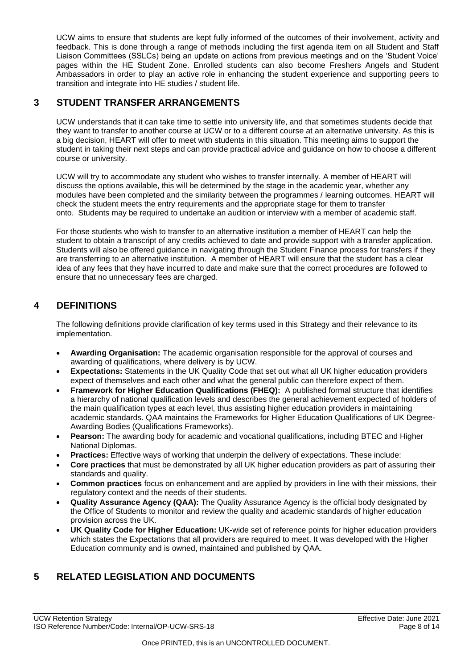UCW aims to ensure that students are kept fully informed of the outcomes of their involvement, activity and feedback. This is done through a range of methods including the first agenda item on all Student and Staff Liaison Committees (SSLCs) being an update on actions from previous meetings and on the 'Student Voice' pages within the HE Student Zone. Enrolled students can also become Freshers Angels and Student Ambassadors in order to play an active role in enhancing the student experience and supporting peers to transition and integrate into HE studies / student life.

# <span id="page-7-0"></span>**3 STUDENT TRANSFER ARRANGEMENTS**

UCW understands that it can take time to settle into university life, and that sometimes students decide that they want to transfer to another course at UCW or to a different course at an alternative university. As this is a big decision, HEART will offer to meet with students in this situation. This meeting aims to support the student in taking their next steps and can provide practical advice and guidance on how to choose a different course or university.

UCW will try to accommodate any student who wishes to transfer internally. A member of HEART will discuss the options available, this will be determined by the stage in the academic year, whether any modules have been completed and the similarity between the programmes / learning outcomes. HEART will check the student meets the entry requirements and the appropriate stage for them to transfer onto. Students may be required to undertake an audition or interview with a member of academic staff.

For those students who wish to transfer to an alternative institution a member of HEART can help the student to obtain a transcript of any credits achieved to date and provide support with a transfer application. Students will also be offered guidance in navigating through the Student Finance process for transfers if they are transferring to an alternative institution. A member of HEART will ensure that the student has a clear idea of any fees that they have incurred to date and make sure that the correct procedures are followed to ensure that no unnecessary fees are charged.

# <span id="page-7-1"></span>**4 DEFINITIONS**

The following definitions provide clarification of key terms used in this Strategy and their relevance to its implementation.

- **Awarding Organisation:** The academic organisation responsible for the approval of courses and awarding of qualifications, where delivery is by UCW.
- **Expectations:** Statements in the UK Quality Code that set out what all UK higher education providers expect of themselves and each other and what the general public can therefore expect of them.
- **Framework for Higher Education Qualifications (FHEQ):** A published formal structure that identifies a hierarchy of national qualification levels and describes the general achievement expected of holders of the main qualification types at each level, thus assisting higher education providers in maintaining academic standards. QAA maintains the Frameworks for Higher Education Qualifications of UK Degree-Awarding Bodies (Qualifications Frameworks).
- **Pearson:** The awarding body for academic and vocational qualifications, including BTEC and Higher National Diplomas.
- **Practices:** Effective ways of working that underpin the delivery of expectations. These include:
- **Core practices** that must be demonstrated by all UK higher education providers as part of assuring their standards and quality.
- **Common practices** focus on enhancement and are applied by providers in line with their missions, their regulatory context and the needs of their students.
- **Quality Assurance Agency (QAA):** The Quality Assurance Agency is the official body designated by the Office of Students to monitor and review the quality and academic standards of higher education provision across the UK.
- **UK Quality Code for Higher Education:** UK-wide set of reference points for higher education providers which states the Expectations that all providers are required to meet. It was developed with the Higher Education community and is owned, maintained and published by QAA.

# <span id="page-7-2"></span>**5 RELATED LEGISLATION AND DOCUMENTS**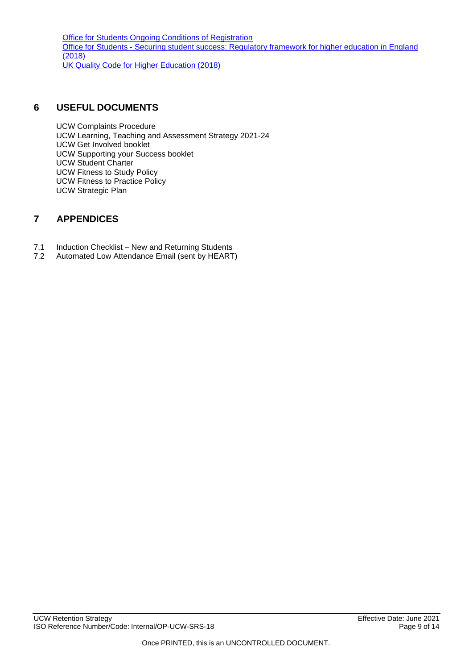Office for Students Ongoing Conditions of [Registration](https://www.officeforstudents.org.uk/advice-and-guidance/regulation/conditions-of-registration/initial-and-general-ongoing-conditions-of-registration/) <u> Office for Students - Securing student success: [Regulatory](https://www.officeforstudents.org.uk/media/1406/ofs2018_01.pdf) framework for higher education in England</u> [\(2018\)](https://www.officeforstudents.org.uk/media/1406/ofs2018_01.pdf) UK Quality Code for [Higher Education](https://www.qaa.ac.uk/quality-code) (2018)

## <span id="page-8-0"></span>**6 USEFUL DOCUMENTS**

UCW Complaints Procedure UCW Learning, Teaching and Assessment Strategy 2021-24 UCW Get Involved booklet UCW Supporting your Success booklet UCW Student Charter UCW Fitness to Study Policy UCW Fitness to Practice Policy UCW Strategic Plan

# <span id="page-8-1"></span>**7 APPENDICES**

- 7.1 Induction Checklist New and Returning Students
- 7.2 Automated Low Attendance Email (sent by HEART)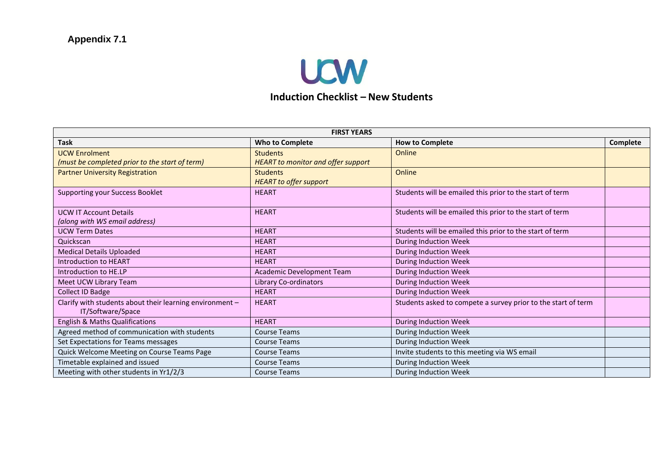

# **Induction Checklist – New Students**

<span id="page-9-0"></span>

| <b>FIRST YEARS</b>                                       |                                           |                                                               |                 |  |  |  |  |
|----------------------------------------------------------|-------------------------------------------|---------------------------------------------------------------|-----------------|--|--|--|--|
| <b>Task</b>                                              | <b>Who to Complete</b>                    | <b>How to Complete</b>                                        | <b>Complete</b> |  |  |  |  |
| <b>UCW Enrolment</b>                                     | <b>Students</b>                           | Online                                                        |                 |  |  |  |  |
| (must be completed prior to the start of term)           | <b>HEART</b> to monitor and offer support |                                                               |                 |  |  |  |  |
| <b>Partner University Registration</b>                   | <b>Students</b>                           | Online                                                        |                 |  |  |  |  |
|                                                          | <b>HEART</b> to offer support             |                                                               |                 |  |  |  |  |
| <b>Supporting your Success Booklet</b>                   | <b>HEART</b>                              | Students will be emailed this prior to the start of term      |                 |  |  |  |  |
|                                                          |                                           |                                                               |                 |  |  |  |  |
| <b>UCW IT Account Details</b>                            | <b>HEART</b>                              | Students will be emailed this prior to the start of term      |                 |  |  |  |  |
| (along with WS email address)                            |                                           |                                                               |                 |  |  |  |  |
| <b>UCW Term Dates</b>                                    | <b>HEART</b>                              | Students will be emailed this prior to the start of term      |                 |  |  |  |  |
| Quickscan                                                | <b>HEART</b>                              | During Induction Week                                         |                 |  |  |  |  |
| <b>Medical Details Uploaded</b>                          | <b>HEART</b>                              | <b>During Induction Week</b>                                  |                 |  |  |  |  |
| Introduction to HEART                                    | <b>HEART</b>                              | <b>During Induction Week</b>                                  |                 |  |  |  |  |
| Introduction to HE.LP                                    | Academic Development Team                 | During Induction Week                                         |                 |  |  |  |  |
| Meet UCW Library Team                                    | Library Co-ordinators                     | <b>During Induction Week</b>                                  |                 |  |  |  |  |
| Collect ID Badge                                         | <b>HEART</b>                              | During Induction Week                                         |                 |  |  |  |  |
| Clarify with students about their learning environment - | <b>HEART</b>                              | Students asked to compete a survey prior to the start of term |                 |  |  |  |  |
| IT/Software/Space                                        |                                           |                                                               |                 |  |  |  |  |
| <b>English &amp; Maths Qualifications</b>                | <b>HEART</b>                              | <b>During Induction Week</b>                                  |                 |  |  |  |  |
| Agreed method of communication with students             | <b>Course Teams</b>                       | <b>During Induction Week</b>                                  |                 |  |  |  |  |
| Set Expectations for Teams messages                      | <b>Course Teams</b>                       | During Induction Week                                         |                 |  |  |  |  |
| Quick Welcome Meeting on Course Teams Page               | <b>Course Teams</b>                       | Invite students to this meeting via WS email                  |                 |  |  |  |  |
| Timetable explained and issued                           | Course Teams                              | During Induction Week                                         |                 |  |  |  |  |
| Meeting with other students in Yr1/2/3                   | <b>Course Teams</b>                       | During Induction Week                                         |                 |  |  |  |  |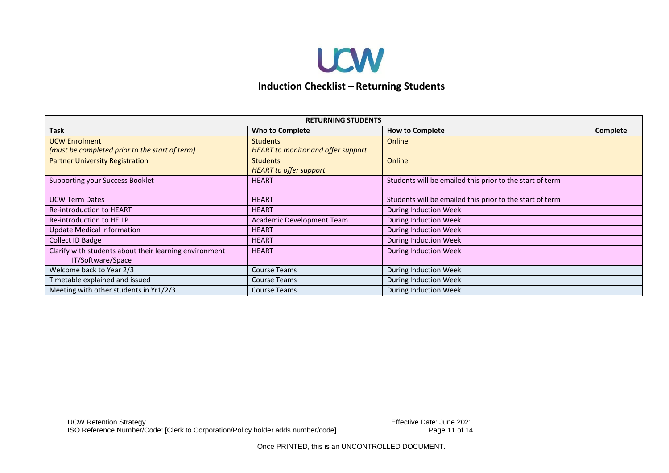

# **Induction Checklist – Returning Students**

| <b>RETURNING STUDENTS</b>                                |                                           |                                                          |          |  |  |  |
|----------------------------------------------------------|-------------------------------------------|----------------------------------------------------------|----------|--|--|--|
| <b>Task</b>                                              | <b>Who to Complete</b>                    | <b>How to Complete</b>                                   | Complete |  |  |  |
| <b>UCW Enrolment</b>                                     | <b>Students</b>                           | Online                                                   |          |  |  |  |
| (must be completed prior to the start of term)           | <b>HEART</b> to monitor and offer support |                                                          |          |  |  |  |
| <b>Partner University Registration</b>                   | <b>Students</b>                           | Online                                                   |          |  |  |  |
|                                                          | <b>HEART</b> to offer support             |                                                          |          |  |  |  |
| <b>Supporting your Success Booklet</b>                   | <b>HEART</b>                              | Students will be emailed this prior to the start of term |          |  |  |  |
|                                                          |                                           |                                                          |          |  |  |  |
| <b>UCW Term Dates</b>                                    | <b>HEART</b>                              | Students will be emailed this prior to the start of term |          |  |  |  |
| Re-introduction to HEART                                 | <b>HEART</b>                              | <b>During Induction Week</b>                             |          |  |  |  |
| Re-introduction to HE.LP                                 | Academic Development Team                 | During Induction Week                                    |          |  |  |  |
| <b>Update Medical Information</b>                        | <b>HEART</b>                              | During Induction Week                                    |          |  |  |  |
| <b>Collect ID Badge</b>                                  | <b>HEART</b>                              | <b>During Induction Week</b>                             |          |  |  |  |
| Clarify with students about their learning environment - | <b>HEART</b>                              | During Induction Week                                    |          |  |  |  |
| IT/Software/Space                                        |                                           |                                                          |          |  |  |  |
| Welcome back to Year 2/3                                 | <b>Course Teams</b>                       | During Induction Week                                    |          |  |  |  |
| Timetable explained and issued                           | <b>Course Teams</b>                       | During Induction Week                                    |          |  |  |  |
| Meeting with other students in Yr1/2/3                   | <b>Course Teams</b>                       | During Induction Week                                    |          |  |  |  |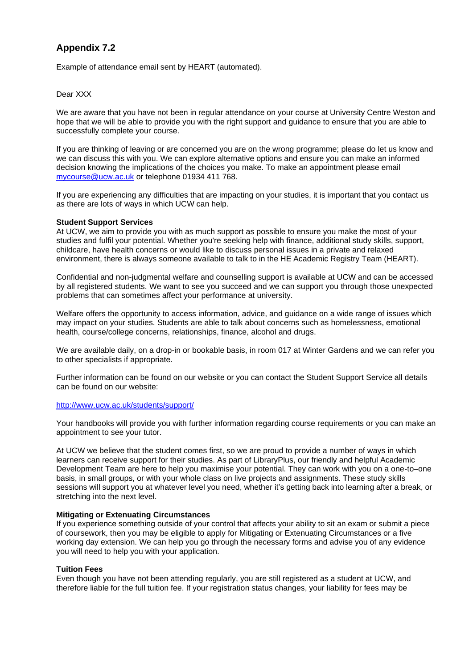# <span id="page-11-0"></span>**Appendix 7.2**

Example of attendance email sent by HEART (automated).

#### Dear XXX

We are aware that you have not been in regular attendance on your course at University Centre Weston and hope that we will be able to provide you with the right support and guidance to ensure that you are able to successfully complete your course.

If you are thinking of leaving or are concerned you are on the wrong programme; please do let us know and we can discuss this with you. We can explore alternative options and ensure you can make an informed decision knowing the implications of the choices you make. To make an appointment please email [mycourse@ucw.ac.uk](mailto:mycourse@ucw.ac.uk) or telephone 01934 411 768.

If you are experiencing any difficulties that are impacting on your studies, it is important that you contact us as there are lots of ways in which UCW can help.

#### **Student Support Services**

At UCW, we aim to provide you with as much support as possible to ensure you make the most of your studies and fulfil your potential. Whether you're seeking help with finance, additional study skills, support, childcare, have health concerns or would like to discuss personal issues in a private and relaxed environment, there is always someone available to talk to in the HE Academic Registry Team (HEART).

Confidential and non-judgmental welfare and counselling support is available at UCW and can be accessed by all registered students. We want to see you succeed and we can support you through those unexpected problems that can sometimes affect your performance at university.

Welfare offers the opportunity to access information, advice, and guidance on a wide range of issues which may impact on your studies. Students are able to talk about concerns such as homelessness, emotional health, course/college concerns, relationships, finance, alcohol and drugs.

We are available daily, on a drop-in or bookable basis, in room 017 at Winter Gardens and we can refer you to other specialists if appropriate.

Further information can be found on our website or you can contact the Student Support Service all details can be found on our website:

### <http://www.ucw.ac.uk/students/support/>

Your handbooks will provide you with further information regarding course requirements or you can make an appointment to see your tutor.

At UCW we believe that the student comes first, so we are proud to provide a number of ways in which learners can receive support for their studies. As part of LibraryPlus, our friendly and helpful Academic Development Team are here to help you maximise your potential. They can work with you on a one-to–one basis, in small groups, or with your whole class on live projects and assignments. These study skills sessions will support you at whatever level you need, whether it's getting back into learning after a break, or stretching into the next level.

#### **Mitigating or Extenuating Circumstances**

If you experience something outside of your control that affects your ability to sit an exam or submit a piece of coursework, then you may be eligible to apply for Mitigating or Extenuating Circumstances or a five working day extension. We can help you go through the necessary forms and advise you of any evidence you will need to help you with your application.

#### **Tuition Fees**

Even though you have not been attending regularly, you are still registered as a student at UCW, and therefore liable for the full tuition fee. If your registration status changes, your liability for fees may be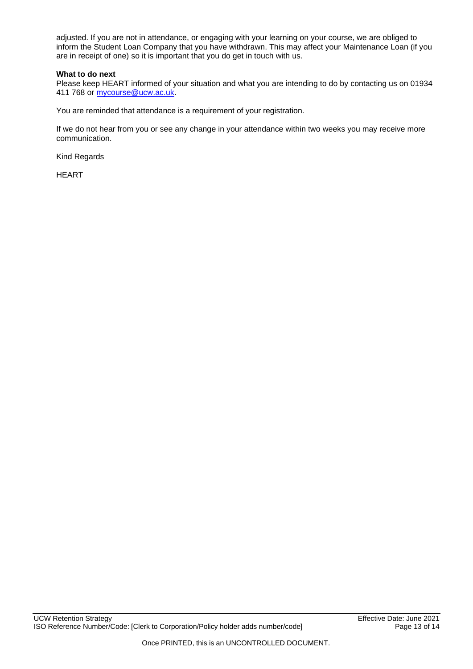adjusted. If you are not in attendance, or engaging with your learning on your course, we are obliged to inform the Student Loan Company that you have withdrawn. This may affect your Maintenance Loan (if you are in receipt of one) so it is important that you do get in touch with us.

### **What to do next**

Please keep HEART informed of your situation and what you are intending to do by contacting us on 01934 411 768 or [mycourse@ucw.ac.uk.](mailto:mycourse@ucw.ac.uk)

You are reminded that attendance is a requirement of your registration.

If we do not hear from you or see any change in your attendance within two weeks you may receive more communication.

Kind Regards

HEART